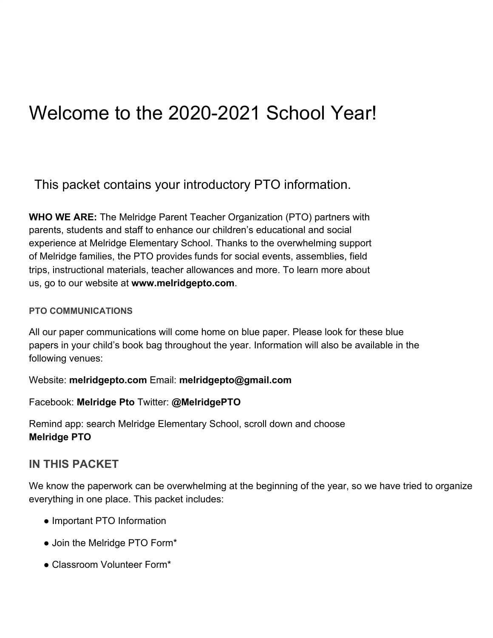## Welcome to the 2020-2021 School Year!

This packet contains your introductory PTO information.

**WHO WE ARE:** The Melridge Parent Teacher Organization (PTO) partners with parents, students and staff to enhance our children's educational and social experience at Melridge Elementary School. Thanks to the overwhelming support of Melridge families, the PTO provides funds for social events, assemblies, field trips, instructional materials, teacher allowances and more. To learn more about us, go to our website at **www.melridgepto.com**.

#### **PTO COMMUNICATIONS**

All our paper communications will come home on blue paper. Please look for these blue papers in your child's book bag throughout the year. Information will also be available in the following venues:

Website: **melridgepto.com** Email: **melridgepto@gmail.com**

Facebook: **Melridge Pto** Twitter: **@MelridgePTO**

Remind app: search Melridge Elementary School, scroll down and choose **Melridge PTO**

### **IN THIS PACKET**

We know the paperwork can be overwhelming at the beginning of the year, so we have tried to organize everything in one place. This packet includes:

- Important PTO Information
- Join the Melridge PTO Form\*
- Classroom Volunteer Form\*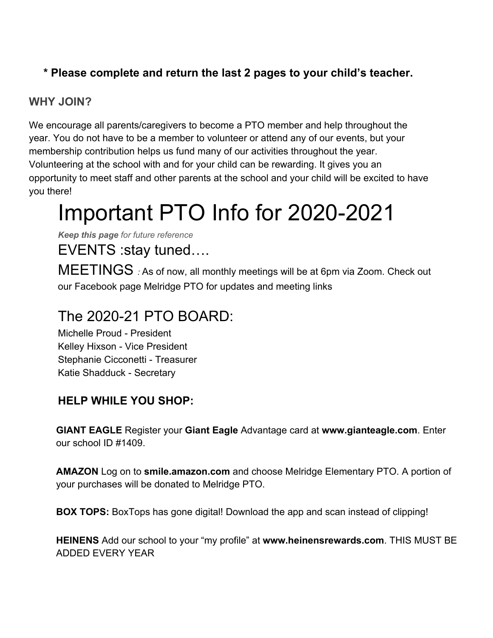## **\* Please complete and return the last 2 pages to your child's teacher.**

## **WHY JOIN?**

We encourage all parents/caregivers to become a PTO member and help throughout the year. You do not have to be a member to volunteer or attend any of our events, but your membership contribution helps us fund many of our activities throughout the year. Volunteering at the school with and for your child can be rewarding. It gives you an opportunity to meet staff and other parents at the school and your child will be excited to have you there!

## Important PTO Info for 2020-2021

*Keep this page for future reference*

EVENTS :stay tuned….

MEETINGS *:* As of now, all monthly meetings will be at 6pm via Zoom. Check out our Facebook page Melridge PTO for updates and meeting links

## The 2020-21 PTO BOARD:

Michelle Proud - President Kelley Hixson - Vice President Stephanie Cicconetti - Treasurer Katie Shadduck - Secretary

## **HELP WHILE YOU SHOP:**

**GIANT EAGLE** Register your **Giant Eagle** Advantage card at **www.gianteagle.com**. Enter our school ID #1409.

**AMAZON** Log on to **smile.amazon.com** and choose Melridge Elementary PTO. A portion of your purchases will be donated to Melridge PTO.

**BOX TOPS:** BoxTops has gone digital! Download the app and scan instead of clipping!

**HEINENS** Add our school to your "my profile" at **www.heinensrewards.com**. THIS MUST BE ADDED EVERY YEAR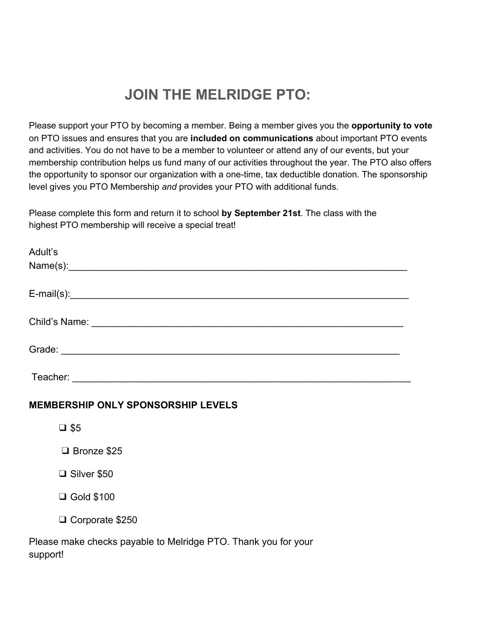## **JOIN THE MELRIDGE PTO:**

Please support your PTO by becoming a member. Being a member gives you the **opportunity to vote** on PTO issues and ensures that you are **included on communications** about important PTO events and activities. You do not have to be a member to volunteer or attend any of our events, but your membership contribution helps us fund many of our activities throughout the year. The PTO also offers the opportunity to sponsor our organization with a one-time, tax deductible donation. The sponsorship level gives you PTO Membership *and* provides your PTO with additional funds.

Please complete this form and return it to school **by September 21st**. The class with the highest PTO membership will receive a special treat!

| Adult's      |  |  |
|--------------|--|--|
| Name(s):     |  |  |
|              |  |  |
| $E-mail(s):$ |  |  |
|              |  |  |
|              |  |  |
|              |  |  |
|              |  |  |
|              |  |  |
| Teacher:     |  |  |

#### **MEMBERSHIP ONLY SPONSORSHIP LEVELS**

❑ \$5

❑ Bronze \$25

❑ Silver \$50

❑ Gold \$100

❑ Corporate \$250

Please make checks payable to Melridge PTO. Thank you for your support!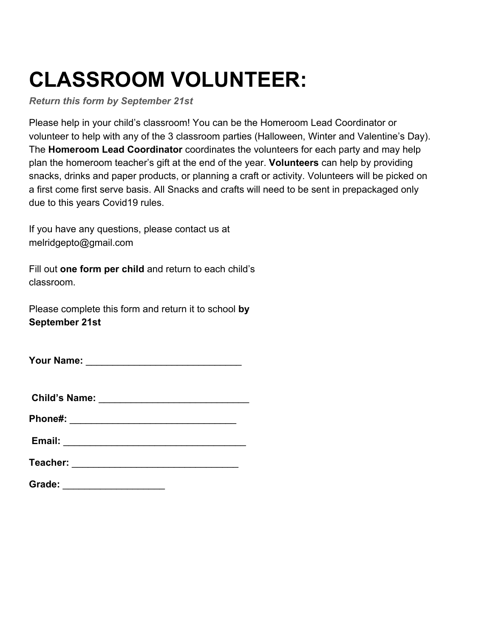# **CLASSROOM VOLUNTEER:**

*Return this form by September 21st*

Please help in your child's classroom! You can be the Homeroom Lead Coordinator or volunteer to help with any of the 3 classroom parties (Halloween, Winter and Valentine's Day). The **Homeroom Lead Coordinator** coordinates the volunteers for each party and may help plan the homeroom teacher's gift at the end of the year. **Volunteers** can help by providing snacks, drinks and paper products, or planning a craft or activity. Volunteers will be picked on a first come first serve basis. All Snacks and crafts will need to be sent in prepackaged only due to this years Covid19 rules.

If you have any questions, please contact us at melridgepto@gmail.com

Fill out **one form per child** and return to each child's classroom.

Please complete this form and return it to school **by September 21st**

**Your Name:**  $\blacksquare$ 

**Child's Name:** \_\_\_\_\_\_\_\_\_\_\_\_\_\_\_\_\_\_\_\_\_\_\_\_\_\_\_\_

**Phone#:** \_\_\_\_\_\_\_\_\_\_\_\_\_\_\_\_\_\_\_\_\_\_\_\_\_\_\_\_\_\_\_

**Email:**  $\qquad \qquad \qquad$ 

**Teacher: with a set of the set of the set of the set of the set of the set of the set of the set of the set of the set of the set of the set of the set of the set of the set of the set of the set of the set of the set o** 

**Grade:** \_\_\_\_\_\_\_\_\_\_\_\_\_\_\_\_\_\_\_